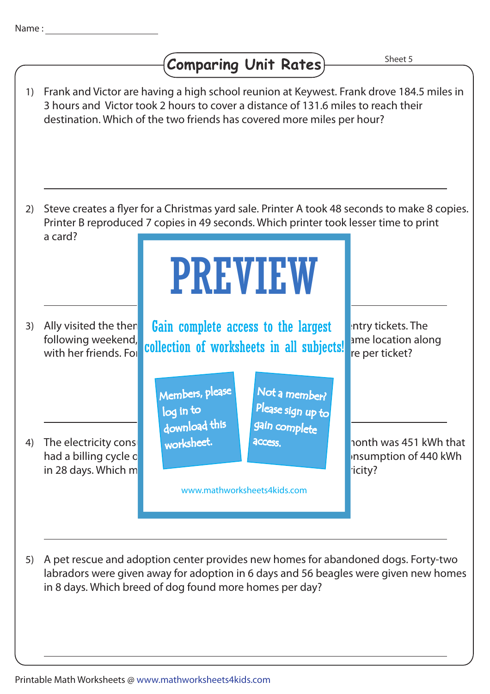## **Comparing Unit Rates)**

Sheet 5



A pet rescue and adoption center provides new homes for abandoned dogs. Forty-two 5) labradors were given away for adoption in 6 days and 56 beagles were given new homes in 8 days. Which breed of dog found more homes per day?